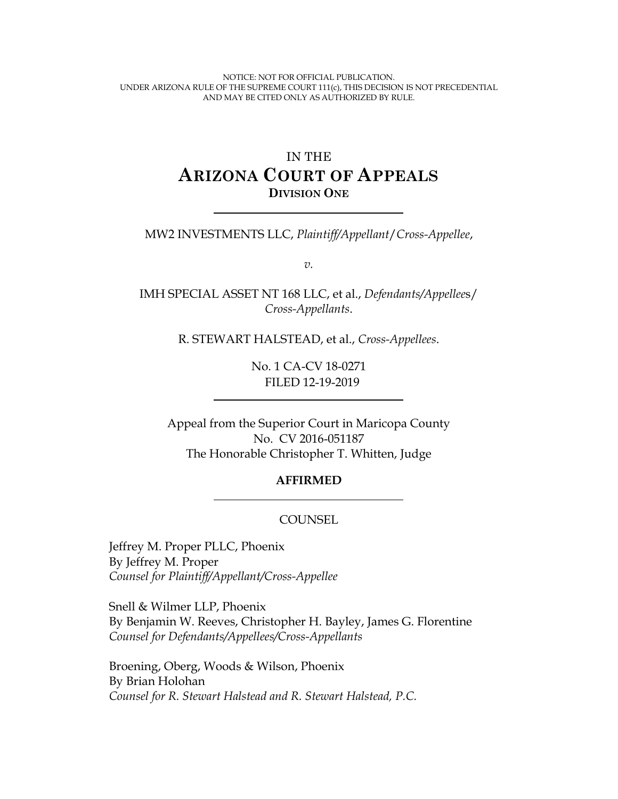NOTICE: NOT FOR OFFICIAL PUBLICATION. UNDER ARIZONA RULE OF THE SUPREME COURT 111(c), THIS DECISION IS NOT PRECEDENTIAL AND MAY BE CITED ONLY AS AUTHORIZED BY RULE.

# IN THE **ARIZONA COURT OF APPEALS DIVISION ONE**

MW2 INVESTMENTS LLC, *Plaintiff/Appellant*/*Cross-Appellee*,

*v.*

IMH SPECIAL ASSET NT 168 LLC, et al., *Defendants/Appellee*s/ *Cross-Appellants*.

R. STEWART HALSTEAD, et al., *Cross-Appellees*.

No. 1 CA-CV 18-0271 FILED 12-19-2019

Appeal from the Superior Court in Maricopa County No. CV 2016-051187 The Honorable Christopher T. Whitten, Judge

#### **AFFIRMED**

#### **COUNSEL**

Jeffrey M. Proper PLLC, Phoenix By Jeffrey M. Proper *Counsel for Plaintiff/Appellant/Cross-Appellee*

Snell & Wilmer LLP, Phoenix By Benjamin W. Reeves, Christopher H. Bayley, James G. Florentine *Counsel for Defendants/Appellees/Cross-Appellants*

Broening, Oberg, Woods & Wilson, Phoenix By Brian Holohan *Counsel for R. Stewart Halstead and R. Stewart Halstead, P.C.*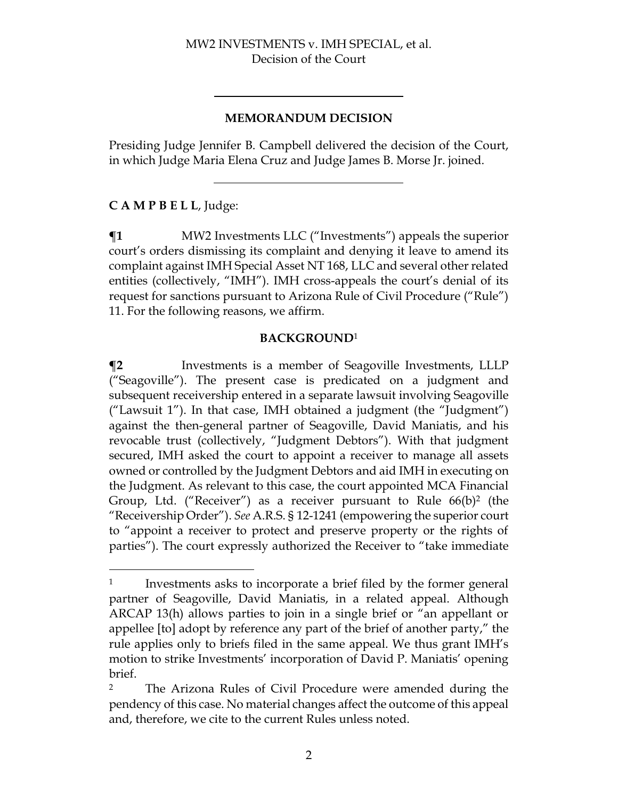#### **MEMORANDUM DECISION**

Presiding Judge Jennifer B. Campbell delivered the decision of the Court, in which Judge Maria Elena Cruz and Judge James B. Morse Jr. joined.

# **C A M P B E L L**, Judge:

**¶1** MW2 Investments LLC ("Investments") appeals the superior court's orders dismissing its complaint and denying it leave to amend its complaint against IMH Special Asset NT 168, LLC and several other related entities (collectively, "IMH"). IMH cross-appeals the court's denial of its request for sanctions pursuant to Arizona Rule of Civil Procedure ("Rule") 11. For the following reasons, we affirm.

#### **BACKGROUND**<sup>1</sup>

**¶2** Investments is a member of Seagoville Investments, LLLP ("Seagoville"). The present case is predicated on a judgment and subsequent receivership entered in a separate lawsuit involving Seagoville ("Lawsuit 1"). In that case, IMH obtained a judgment (the "Judgment") against the then-general partner of Seagoville, David Maniatis, and his revocable trust (collectively, "Judgment Debtors"). With that judgment secured, IMH asked the court to appoint a receiver to manage all assets owned or controlled by the Judgment Debtors and aid IMH in executing on the Judgment. As relevant to this case, the court appointed MCA Financial Group, Ltd. ("Receiver") as a receiver pursuant to Rule  $66(b)^2$  (the "Receivership Order"). *See* A.R.S. § 12-1241 (empowering the superior court to "appoint a receiver to protect and preserve property or the rights of parties"). The court expressly authorized the Receiver to "take immediate

<sup>&</sup>lt;sup>1</sup> Investments asks to incorporate a brief filed by the former general partner of Seagoville, David Maniatis, in a related appeal. Although ARCAP 13(h) allows parties to join in a single brief or "an appellant or appellee [to] adopt by reference any part of the brief of another party," the rule applies only to briefs filed in the same appeal. We thus grant IMH's motion to strike Investments' incorporation of David P. Maniatis' opening brief.

<sup>2</sup> The Arizona Rules of Civil Procedure were amended during the pendency of this case. No material changes affect the outcome of this appeal and, therefore, we cite to the current Rules unless noted.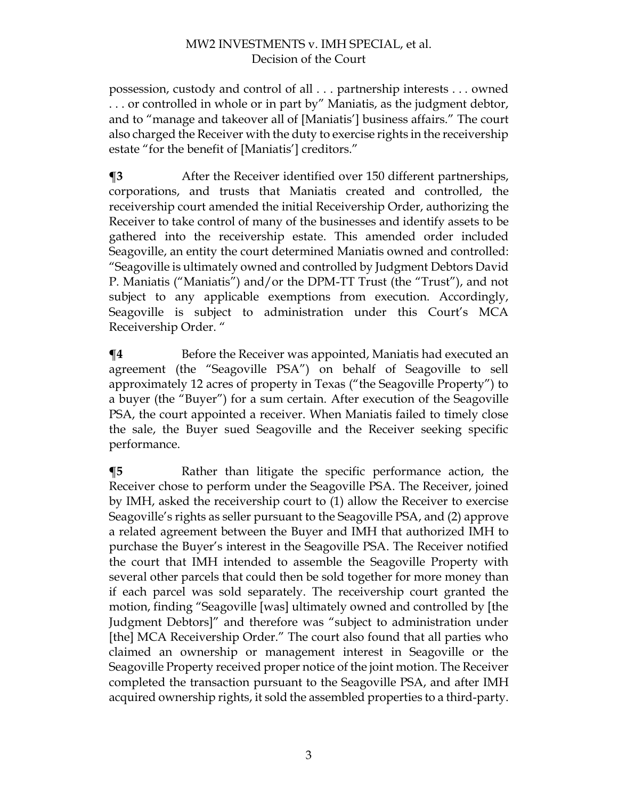possession, custody and control of all . . . partnership interests . . . owned . . . or controlled in whole or in part by" Maniatis, as the judgment debtor, and to "manage and takeover all of [Maniatis'] business affairs." The court also charged the Receiver with the duty to exercise rights in the receivership estate "for the benefit of [Maniatis'] creditors."

**¶3** After the Receiver identified over 150 different partnerships, corporations, and trusts that Maniatis created and controlled, the receivership court amended the initial Receivership Order, authorizing the Receiver to take control of many of the businesses and identify assets to be gathered into the receivership estate. This amended order included Seagoville, an entity the court determined Maniatis owned and controlled: "Seagoville is ultimately owned and controlled by Judgment Debtors David P. Maniatis ("Maniatis") and/or the DPM-TT Trust (the "Trust"), and not subject to any applicable exemptions from execution. Accordingly, Seagoville is subject to administration under this Court's MCA Receivership Order. "

**¶4** Before the Receiver was appointed, Maniatis had executed an agreement (the "Seagoville PSA") on behalf of Seagoville to sell approximately 12 acres of property in Texas ("the Seagoville Property") to a buyer (the "Buyer") for a sum certain. After execution of the Seagoville PSA, the court appointed a receiver. When Maniatis failed to timely close the sale, the Buyer sued Seagoville and the Receiver seeking specific performance.

**¶5** Rather than litigate the specific performance action, the Receiver chose to perform under the Seagoville PSA. The Receiver, joined by IMH, asked the receivership court to (1) allow the Receiver to exercise Seagoville's rights as seller pursuant to the Seagoville PSA, and (2) approve a related agreement between the Buyer and IMH that authorized IMH to purchase the Buyer's interest in the Seagoville PSA. The Receiver notified the court that IMH intended to assemble the Seagoville Property with several other parcels that could then be sold together for more money than if each parcel was sold separately. The receivership court granted the motion, finding "Seagoville [was] ultimately owned and controlled by [the Judgment Debtors]" and therefore was "subject to administration under [the] MCA Receivership Order." The court also found that all parties who claimed an ownership or management interest in Seagoville or the Seagoville Property received proper notice of the joint motion. The Receiver completed the transaction pursuant to the Seagoville PSA, and after IMH acquired ownership rights, it sold the assembled properties to a third-party.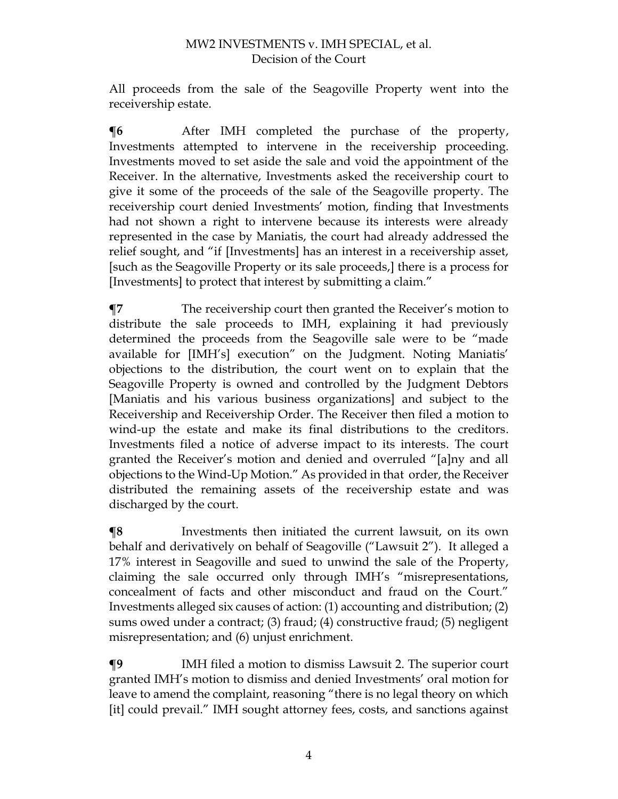All proceeds from the sale of the Seagoville Property went into the receivership estate.

 $\P6$  After IMH completed the purchase of the property, Investments attempted to intervene in the receivership proceeding. Investments moved to set aside the sale and void the appointment of the Receiver. In the alternative, Investments asked the receivership court to give it some of the proceeds of the sale of the Seagoville property. The receivership court denied Investments' motion, finding that Investments had not shown a right to intervene because its interests were already represented in the case by Maniatis, the court had already addressed the relief sought, and "if [Investments] has an interest in a receivership asset, [such as the Seagoville Property or its sale proceeds,] there is a process for [Investments] to protect that interest by submitting a claim."

**¶7** The receivership court then granted the Receiver's motion to distribute the sale proceeds to IMH, explaining it had previously determined the proceeds from the Seagoville sale were to be "made available for [IMH's] execution" on the Judgment. Noting Maniatis' objections to the distribution, the court went on to explain that the Seagoville Property is owned and controlled by the Judgment Debtors [Maniatis and his various business organizations] and subject to the Receivership and Receivership Order. The Receiver then filed a motion to wind-up the estate and make its final distributions to the creditors. Investments filed a notice of adverse impact to its interests. The court granted the Receiver's motion and denied and overruled "[a]ny and all objections to the Wind-Up Motion." As provided in that order, the Receiver distributed the remaining assets of the receivership estate and was discharged by the court.

**¶8** Investments then initiated the current lawsuit, on its own behalf and derivatively on behalf of Seagoville ("Lawsuit 2"). It alleged a 17% interest in Seagoville and sued to unwind the sale of the Property, claiming the sale occurred only through IMH's "misrepresentations, concealment of facts and other misconduct and fraud on the Court." Investments alleged six causes of action: (1) accounting and distribution; (2) sums owed under a contract; (3) fraud; (4) constructive fraud; (5) negligent misrepresentation; and (6) unjust enrichment.

**¶9** IMH filed a motion to dismiss Lawsuit 2. The superior court granted IMH's motion to dismiss and denied Investments' oral motion for leave to amend the complaint, reasoning "there is no legal theory on which [it] could prevail." IMH sought attorney fees, costs, and sanctions against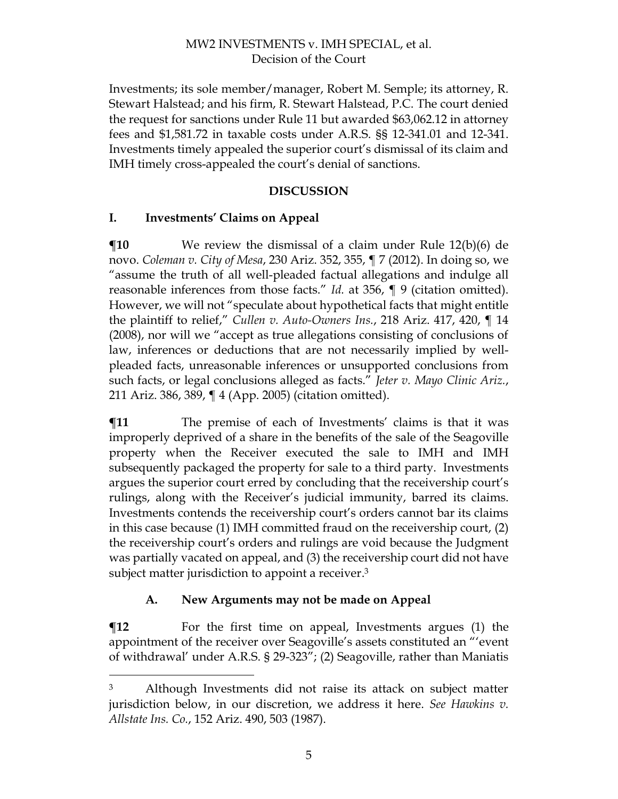Investments; its sole member/manager, Robert M. Semple; its attorney, R. Stewart Halstead; and his firm, R. Stewart Halstead, P.C. The court denied the request for sanctions under Rule 11 but awarded \$63,062.12 in attorney fees and \$1,581.72 in taxable costs under A.R.S. §§ 12-341.01 and 12-341. Investments timely appealed the superior court's dismissal of its claim and IMH timely cross-appealed the court's denial of sanctions.

### **DISCUSSION**

### **I. Investments' Claims on Appeal**

**¶10** We review the dismissal of a claim under Rule 12(b)(6) de novo. *Coleman v. City of Mesa*, 230 Ariz. 352, 355, ¶ 7 (2012). In doing so, we "assume the truth of all well-pleaded factual allegations and indulge all reasonable inferences from those facts." *Id.* at 356, ¶ 9 (citation omitted). However, we will not "speculate about hypothetical facts that might entitle the plaintiff to relief," *Cullen v. Auto-Owners Ins.*, 218 Ariz. 417, 420, ¶ 14 (2008), nor will we "accept as true allegations consisting of conclusions of law, inferences or deductions that are not necessarily implied by wellpleaded facts, unreasonable inferences or unsupported conclusions from such facts, or legal conclusions alleged as facts." *Jeter v. Mayo Clinic Ariz.*, 211 Ariz. 386, 389, ¶ 4 (App. 2005) (citation omitted).

 $\P$ **11** The premise of each of Investments' claims is that it was improperly deprived of a share in the benefits of the sale of the Seagoville property when the Receiver executed the sale to IMH and IMH subsequently packaged the property for sale to a third party. Investments argues the superior court erred by concluding that the receivership court's rulings, along with the Receiver's judicial immunity, barred its claims. Investments contends the receivership court's orders cannot bar its claims in this case because (1) IMH committed fraud on the receivership court, (2) the receivership court's orders and rulings are void because the Judgment was partially vacated on appeal, and (3) the receivership court did not have subject matter jurisdiction to appoint a receiver. 3

# **A. New Arguments may not be made on Appeal**

 $\P$ **12** For the first time on appeal, Investments argues (1) the appointment of the receiver over Seagoville's assets constituted an "'event of withdrawal' under A.R.S. § 29-323"; (2) Seagoville, rather than Maniatis

<sup>3</sup> Although Investments did not raise its attack on subject matter jurisdiction below, in our discretion, we address it here. *See Hawkins v. Allstate Ins. Co.*, 152 Ariz. 490, 503 (1987).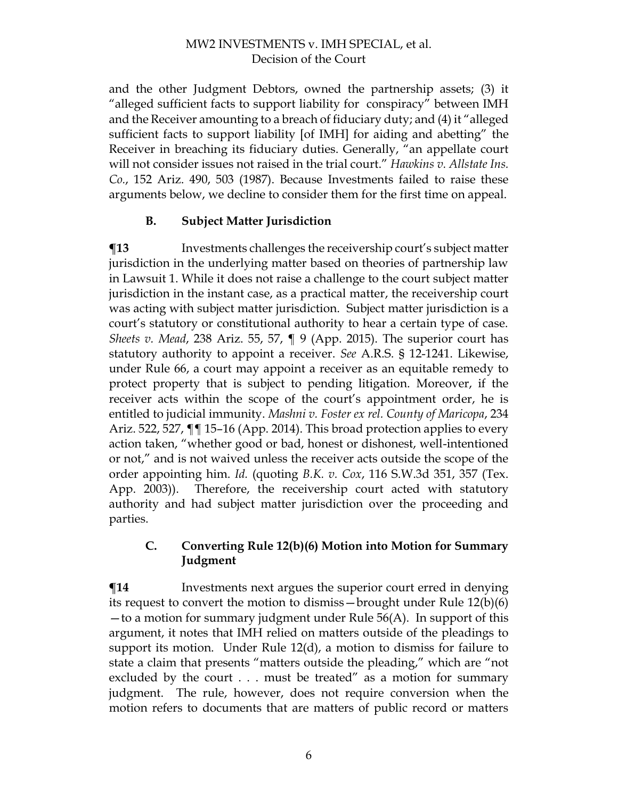and the other Judgment Debtors, owned the partnership assets; (3) it "alleged sufficient facts to support liability for conspiracy" between IMH and the Receiver amounting to a breach of fiduciary duty; and (4) it "alleged sufficient facts to support liability [of IMH] for aiding and abetting" the Receiver in breaching its fiduciary duties. Generally, "an appellate court will not consider issues not raised in the trial court." *Hawkins v. Allstate Ins. Co.*, 152 Ariz. 490, 503 (1987). Because Investments failed to raise these arguments below, we decline to consider them for the first time on appeal.

# **B. Subject Matter Jurisdiction**

**¶13** Investments challenges the receivership court's subject matter jurisdiction in the underlying matter based on theories of partnership law in Lawsuit 1. While it does not raise a challenge to the court subject matter jurisdiction in the instant case, as a practical matter, the receivership court was acting with subject matter jurisdiction. Subject matter jurisdiction is a court's statutory or constitutional authority to hear a certain type of case. *Sheets v. Mead*, 238 Ariz. 55, 57, ¶ 9 (App. 2015). The superior court has statutory authority to appoint a receiver. *See* A.R.S. § 12-1241. Likewise, under Rule 66, a court may appoint a receiver as an equitable remedy to protect property that is subject to pending litigation. Moreover, if the receiver acts within the scope of the court's appointment order, he is entitled to judicial immunity. *Mashni v. Foster ex rel. County of Maricopa*, 234 Ariz. 522, 527, ¶¶ 15–16 (App. 2014). This broad protection applies to every action taken, "whether good or bad, honest or dishonest, well-intentioned or not," and is not waived unless the receiver acts outside the scope of the order appointing him. *Id.* (quoting *B.K. v. Cox*, 116 S.W.3d 351, 357 (Tex. App. 2003)). Therefore, the receivership court acted with statutory authority and had subject matter jurisdiction over the proceeding and parties.

### **C. Converting Rule 12(b)(6) Motion into Motion for Summary Judgment**

 $\P$ **14** Investments next argues the superior court erred in denying its request to convert the motion to dismiss—brought under Rule 12(b)(6) —to a motion for summary judgment under Rule 56(A). In support of this argument, it notes that IMH relied on matters outside of the pleadings to support its motion. Under Rule 12(d), a motion to dismiss for failure to state a claim that presents "matters outside the pleading," which are "not excluded by the court . . . must be treated" as a motion for summary judgment. The rule, however, does not require conversion when the motion refers to documents that are matters of public record or matters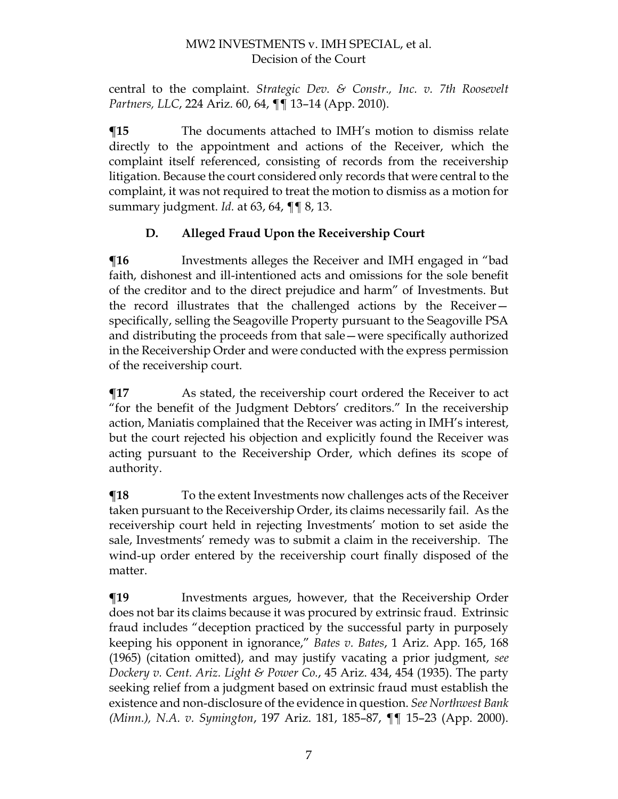central to the complaint. *Strategic Dev. & Constr., Inc. v. 7th Roosevelt Partners, LLC*, 224 Ariz. 60, 64, ¶¶ 13–14 (App. 2010).

**¶15** The documents attached to IMH's motion to dismiss relate directly to the appointment and actions of the Receiver, which the complaint itself referenced, consisting of records from the receivership litigation. Because the court considered only records that were central to the complaint, it was not required to treat the motion to dismiss as a motion for summary judgment. *Id.* at 63, 64, ¶¶ 8, 13.

# **D. Alleged Fraud Upon the Receivership Court**

**The Investments alleges the Receiver and IMH engaged in "bad"** faith, dishonest and ill-intentioned acts and omissions for the sole benefit of the creditor and to the direct prejudice and harm" of Investments. But the record illustrates that the challenged actions by the Receiver specifically, selling the Seagoville Property pursuant to the Seagoville PSA and distributing the proceeds from that sale—were specifically authorized in the Receivership Order and were conducted with the express permission of the receivership court.

**¶17** As stated, the receivership court ordered the Receiver to act "for the benefit of the Judgment Debtors' creditors." In the receivership action, Maniatis complained that the Receiver was acting in IMH's interest, but the court rejected his objection and explicitly found the Receiver was acting pursuant to the Receivership Order, which defines its scope of authority.

**¶18** To the extent Investments now challenges acts of the Receiver taken pursuant to the Receivership Order, its claims necessarily fail. As the receivership court held in rejecting Investments' motion to set aside the sale, Investments' remedy was to submit a claim in the receivership. The wind-up order entered by the receivership court finally disposed of the matter.

**The Ten-** Investments argues, however, that the Receivership Order does not bar its claims because it was procured by extrinsic fraud. Extrinsic fraud includes "deception practiced by the successful party in purposely keeping his opponent in ignorance," *Bates v. Bates*, 1 Ariz. App. 165, 168 (1965) (citation omitted), and may justify vacating a prior judgment, *see Dockery v. Cent. Ariz. Light & Power Co.*, 45 Ariz. 434, 454 (1935). The party seeking relief from a judgment based on extrinsic fraud must establish the existence and non-disclosure of the evidence in question. *See Northwest Bank (Minn.), N.A. v. Symington*, 197 Ariz. 181, 185–87, ¶¶ 15–23 (App. 2000).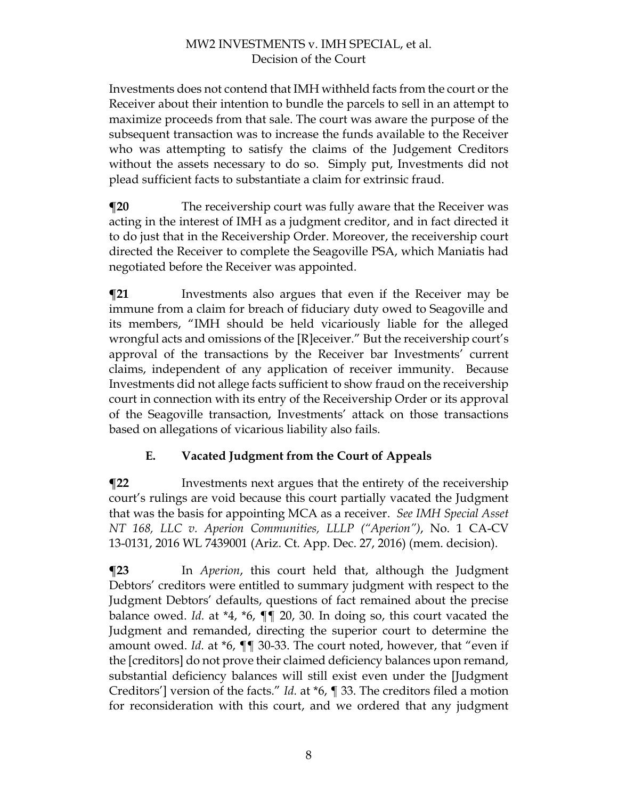Investments does not contend that IMH withheld facts from the court or the Receiver about their intention to bundle the parcels to sell in an attempt to maximize proceeds from that sale. The court was aware the purpose of the subsequent transaction was to increase the funds available to the Receiver who was attempting to satisfy the claims of the Judgement Creditors without the assets necessary to do so. Simply put, Investments did not plead sufficient facts to substantiate a claim for extrinsic fraud.

**¶20** The receivership court was fully aware that the Receiver was acting in the interest of IMH as a judgment creditor, and in fact directed it to do just that in the Receivership Order. Moreover, the receivership court directed the Receiver to complete the Seagoville PSA, which Maniatis had negotiated before the Receiver was appointed.

**The Investments also argues that even if the Receiver may be** immune from a claim for breach of fiduciary duty owed to Seagoville and its members, "IMH should be held vicariously liable for the alleged wrongful acts and omissions of the [R]eceiver." But the receivership court's approval of the transactions by the Receiver bar Investments' current claims, independent of any application of receiver immunity. Because Investments did not allege facts sufficient to show fraud on the receivership court in connection with its entry of the Receivership Order or its approval of the Seagoville transaction, Investments' attack on those transactions based on allegations of vicarious liability also fails.

# **E. Vacated Judgment from the Court of Appeals**

**¶22** Investments next argues that the entirety of the receivership court's rulings are void because this court partially vacated the Judgment that was the basis for appointing MCA as a receiver. *See IMH Special Asset NT 168, LLC v. Aperion Communities, LLLP ("Aperion")*, No. 1 CA-CV 13-0131, 2016 WL 7439001 (Ariz. Ct. App. Dec. 27, 2016) (mem. decision).

**¶23** In *Aperion*, this court held that, although the Judgment Debtors' creditors were entitled to summary judgment with respect to the Judgment Debtors' defaults, questions of fact remained about the precise balance owed. *Id.* at \*4, \*6, ¶¶ 20, 30. In doing so, this court vacated the Judgment and remanded, directing the superior court to determine the amount owed. *Id.* at \*6, ¶¶ 30-33. The court noted, however, that "even if the [creditors] do not prove their claimed deficiency balances upon remand, substantial deficiency balances will still exist even under the [Judgment Creditors'] version of the facts." *Id.* at \*6, ¶ 33. The creditors filed a motion for reconsideration with this court, and we ordered that any judgment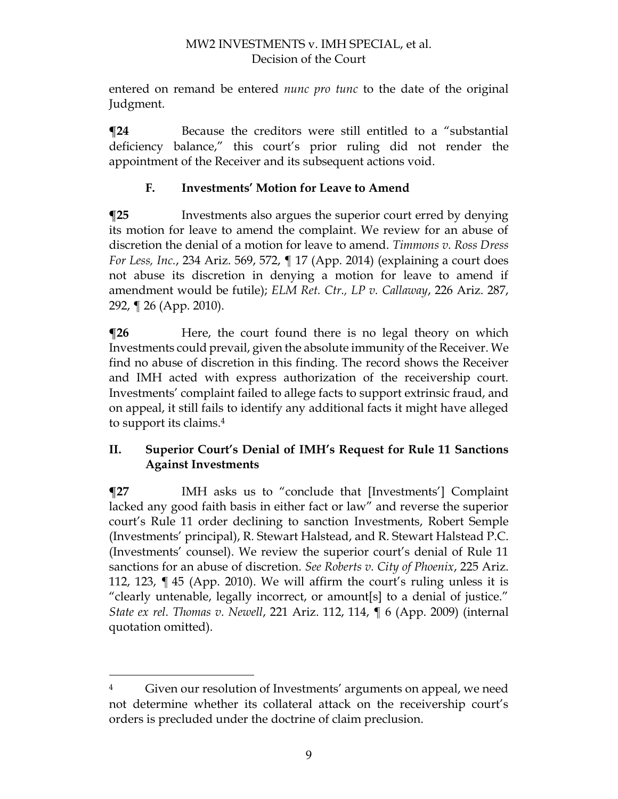entered on remand be entered *nunc pro tunc* to the date of the original Judgment.

**The Texause the creditors were still entitled to a "substantial"** deficiency balance," this court's prior ruling did not render the appointment of the Receiver and its subsequent actions void.

# **F. Investments' Motion for Leave to Amend**

**The Investments also argues the superior court erred by denying** its motion for leave to amend the complaint. We review for an abuse of discretion the denial of a motion for leave to amend. *Timmons v. Ross Dress For Less, Inc.*, 234 Ariz. 569, 572, ¶ 17 (App. 2014) (explaining a court does not abuse its discretion in denying a motion for leave to amend if amendment would be futile); *ELM Ret. Ctr., LP v. Callaway*, 226 Ariz. 287, 292, ¶ 26 (App. 2010).

**There, the court found there is no legal theory on which** Investments could prevail, given the absolute immunity of the Receiver. We find no abuse of discretion in this finding. The record shows the Receiver and IMH acted with express authorization of the receivership court. Investments' complaint failed to allege facts to support extrinsic fraud, and on appeal, it still fails to identify any additional facts it might have alleged to support its claims.<sup>4</sup>

### **II. Superior Court's Denial of IMH's Request for Rule 11 Sanctions Against Investments**

**¶27** IMH asks us to "conclude that [Investments'] Complaint lacked any good faith basis in either fact or law" and reverse the superior court's Rule 11 order declining to sanction Investments, Robert Semple (Investments' principal), R. Stewart Halstead, and R. Stewart Halstead P.C. (Investments' counsel). We review the superior court's denial of Rule 11 sanctions for an abuse of discretion. *See Roberts v. City of Phoenix*, 225 Ariz. 112, 123, ¶ 45 (App. 2010). We will affirm the court's ruling unless it is "clearly untenable, legally incorrect, or amount[s] to a denial of justice." *State ex rel. Thomas v. Newell*, 221 Ariz. 112, 114, ¶ 6 (App. 2009) (internal quotation omitted).

<sup>&</sup>lt;sup>4</sup> Given our resolution of Investments' arguments on appeal, we need not determine whether its collateral attack on the receivership court's orders is precluded under the doctrine of claim preclusion.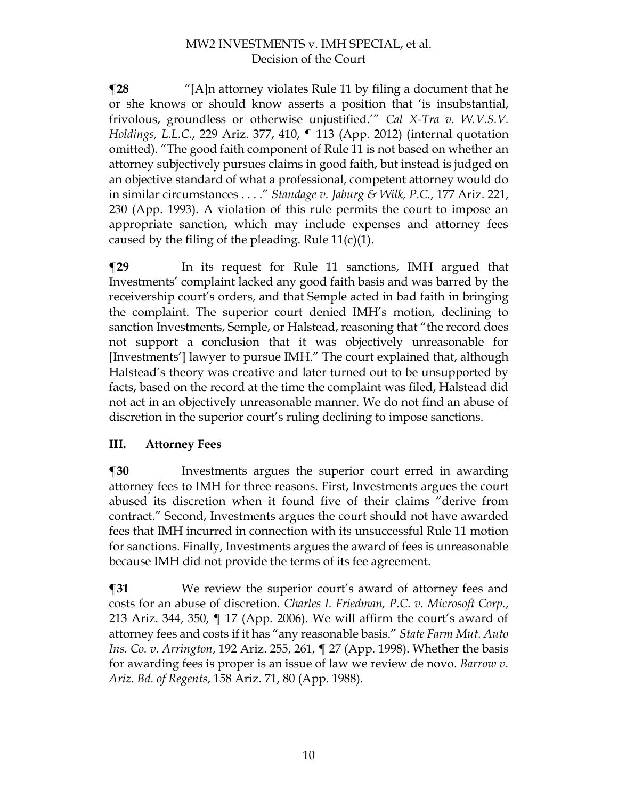**¶28** "[A]n attorney violates Rule 11 by filing a document that he or she knows or should know asserts a position that 'is insubstantial, frivolous, groundless or otherwise unjustified.'" *Cal X-Tra v. W.V.S.V. Holdings, L.L.C.*, 229 Ariz. 377, 410, ¶ 113 (App. 2012) (internal quotation omitted). "The good faith component of Rule 11 is not based on whether an attorney subjectively pursues claims in good faith, but instead is judged on an objective standard of what a professional, competent attorney would do in similar circumstances . . . ." *Standage v. Jaburg & Wilk, P.C.*, 177 Ariz. 221, 230 (App. 1993). A violation of this rule permits the court to impose an appropriate sanction, which may include expenses and attorney fees caused by the filing of the pleading. Rule  $11(c)(1)$ .

**¶29** In its request for Rule 11 sanctions, IMH argued that Investments' complaint lacked any good faith basis and was barred by the receivership court's orders, and that Semple acted in bad faith in bringing the complaint. The superior court denied IMH's motion, declining to sanction Investments, Semple, or Halstead, reasoning that "the record does not support a conclusion that it was objectively unreasonable for [Investments'] lawyer to pursue IMH." The court explained that, although Halstead's theory was creative and later turned out to be unsupported by facts, based on the record at the time the complaint was filed, Halstead did not act in an objectively unreasonable manner. We do not find an abuse of discretion in the superior court's ruling declining to impose sanctions.

# **III. Attorney Fees**

**¶30** Investments argues the superior court erred in awarding attorney fees to IMH for three reasons. First, Investments argues the court abused its discretion when it found five of their claims "derive from contract." Second, Investments argues the court should not have awarded fees that IMH incurred in connection with its unsuccessful Rule 11 motion for sanctions. Finally, Investments argues the award of fees is unreasonable because IMH did not provide the terms of its fee agreement.

**¶31** We review the superior court's award of attorney fees and costs for an abuse of discretion. *Charles I. Friedman, P.C. v. Microsoft Corp.*, 213 Ariz. 344, 350, ¶ 17 (App. 2006). We will affirm the court's award of attorney fees and costs if it has "any reasonable basis." *State Farm Mut. Auto Ins. Co. v. Arrington*, 192 Ariz. 255, 261, ¶ 27 (App. 1998). Whether the basis for awarding fees is proper is an issue of law we review de novo. *Barrow v. Ariz. Bd. of Regents*, 158 Ariz. 71, 80 (App. 1988).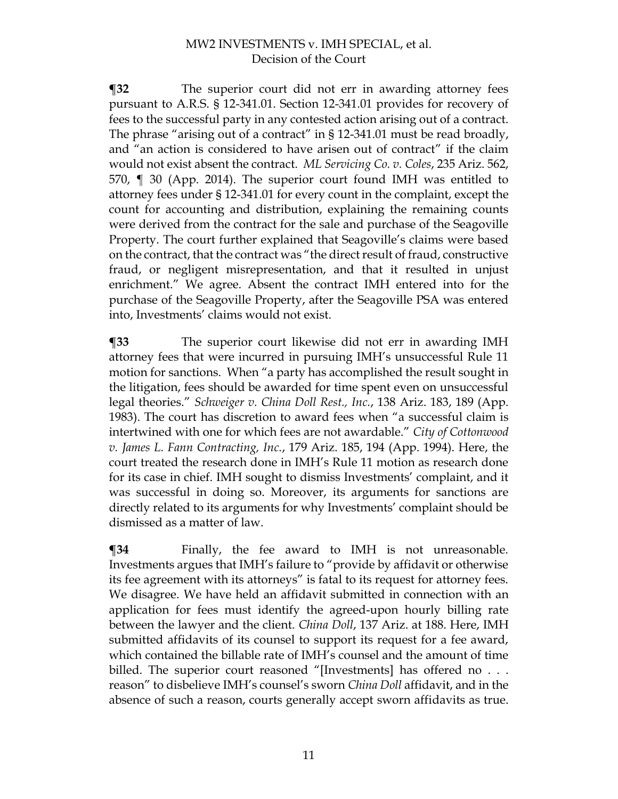**¶32** The superior court did not err in awarding attorney fees pursuant to A.R.S. § 12-341.01. Section 12-341.01 provides for recovery of fees to the successful party in any contested action arising out of a contract. The phrase "arising out of a contract" in § 12-341.01 must be read broadly, and "an action is considered to have arisen out of contract" if the claim would not exist absent the contract. *ML Servicing Co. v. Coles*, 235 Ariz. 562, 570, ¶ 30 (App. 2014). The superior court found IMH was entitled to attorney fees under § 12-341.01 for every count in the complaint, except the count for accounting and distribution, explaining the remaining counts were derived from the contract for the sale and purchase of the Seagoville Property. The court further explained that Seagoville's claims were based on the contract, that the contract was "the direct result of fraud, constructive fraud, or negligent misrepresentation, and that it resulted in unjust enrichment." We agree. Absent the contract IMH entered into for the purchase of the Seagoville Property, after the Seagoville PSA was entered into, Investments' claims would not exist.

**¶33** The superior court likewise did not err in awarding IMH attorney fees that were incurred in pursuing IMH's unsuccessful Rule 11 motion for sanctions. When "a party has accomplished the result sought in the litigation, fees should be awarded for time spent even on unsuccessful legal theories." *Schweiger v. China Doll Rest., Inc.*, 138 Ariz. 183, 189 (App. 1983). The court has discretion to award fees when "a successful claim is intertwined with one for which fees are not awardable." *City of Cottonwood v. James L. Fann Contracting, Inc.*, 179 Ariz. 185, 194 (App. 1994). Here, the court treated the research done in IMH's Rule 11 motion as research done for its case in chief. IMH sought to dismiss Investments' complaint, and it was successful in doing so. Moreover, its arguments for sanctions are directly related to its arguments for why Investments' complaint should be dismissed as a matter of law.

**¶34** Finally, the fee award to IMH is not unreasonable. Investments argues that IMH's failure to "provide by affidavit or otherwise its fee agreement with its attorneys" is fatal to its request for attorney fees. We disagree. We have held an affidavit submitted in connection with an application for fees must identify the agreed-upon hourly billing rate between the lawyer and the client. *China Doll*, 137 Ariz. at 188. Here, IMH submitted affidavits of its counsel to support its request for a fee award, which contained the billable rate of IMH's counsel and the amount of time billed. The superior court reasoned "[Investments] has offered no . . . reason" to disbelieve IMH's counsel's sworn *China Doll* affidavit, and in the absence of such a reason, courts generally accept sworn affidavits as true.